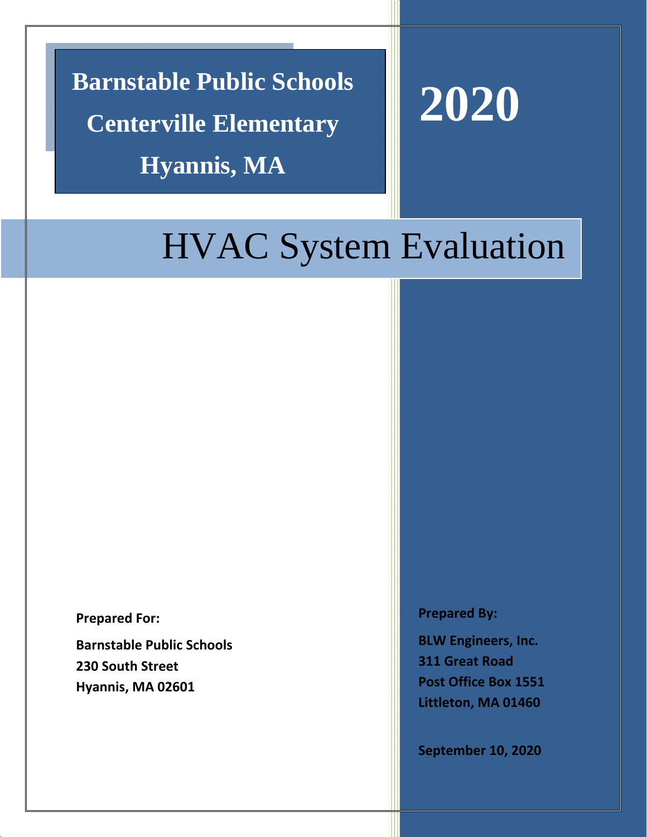**Barnstable Public Schools Centerville Elementary Hyannis, MA** 



# HVAC System Evaluation

**Prepared For:**

**Barnstable Public Schools 230 South Street Hyannis, MA 02601**

**Prepared By:**

**BLW Engineers, Inc. 311 Great Road Post Office Box 1551 Littleton, MA 01460**

**September 10, 2020**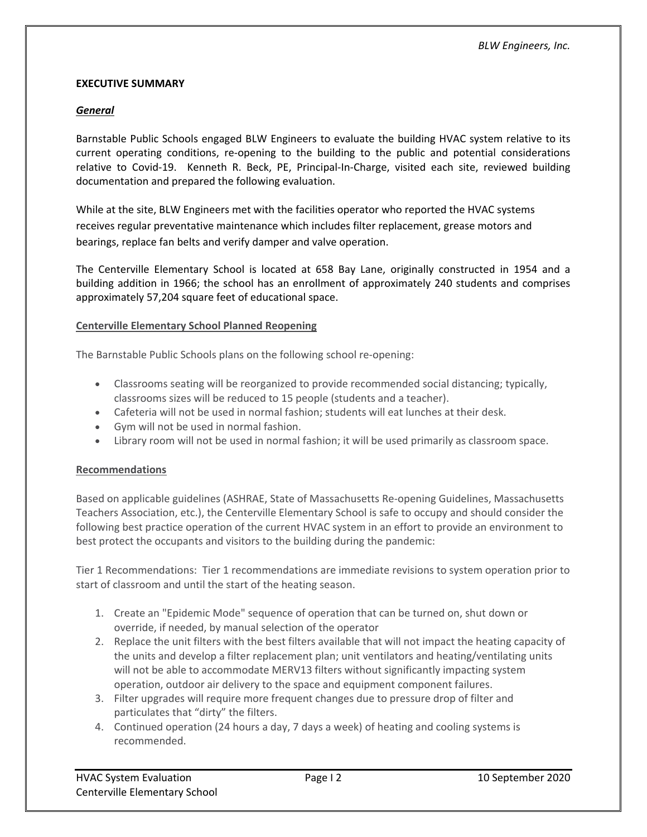# **EXECUTIVE SUMMARY**

# *General*

Barnstable Public Schools engaged BLW Engineers to evaluate the building HVAC system relative to its current operating conditions, re‐opening to the building to the public and potential considerations relative to Covid‐19. Kenneth R. Beck, PE, Principal‐In‐Charge, visited each site, reviewed building documentation and prepared the following evaluation.

While at the site, BLW Engineers met with the facilities operator who reported the HVAC systems receives regular preventative maintenance which includes filter replacement, grease motors and bearings, replace fan belts and verify damper and valve operation.

The Centerville Elementary School is located at 658 Bay Lane, originally constructed in 1954 and a building addition in 1966; the school has an enrollment of approximately 240 students and comprises approximately 57,204 square feet of educational space.

# **Centerville Elementary School Planned Reopening**

The Barnstable Public Schools plans on the following school re‐opening:

- Classrooms seating will be reorganized to provide recommended social distancing; typically, classrooms sizes will be reduced to 15 people (students and a teacher).
- Cafeteria will not be used in normal fashion; students will eat lunches at their desk.
- Gym will not be used in normal fashion.
- Library room will not be used in normal fashion; it will be used primarily as classroom space.

# **Recommendations**

Based on applicable guidelines (ASHRAE, State of Massachusetts Re‐opening Guidelines, Massachusetts Teachers Association, etc.), the Centerville Elementary School is safe to occupy and should consider the following best practice operation of the current HVAC system in an effort to provide an environment to best protect the occupants and visitors to the building during the pandemic:

Tier 1 Recommendations: Tier 1 recommendations are immediate revisions to system operation prior to start of classroom and until the start of the heating season.

- 1. Create an "Epidemic Mode" sequence of operation that can be turned on, shut down or override, if needed, by manual selection of the operator
- 2. Replace the unit filters with the best filters available that will not impact the heating capacity of the units and develop a filter replacement plan; unit ventilators and heating/ventilating units will not be able to accommodate MERV13 filters without significantly impacting system operation, outdoor air delivery to the space and equipment component failures.
- 3. Filter upgrades will require more frequent changes due to pressure drop of filter and particulates that "dirty" the filters.
- 4. Continued operation (24 hours a day, 7 days a week) of heating and cooling systems is recommended.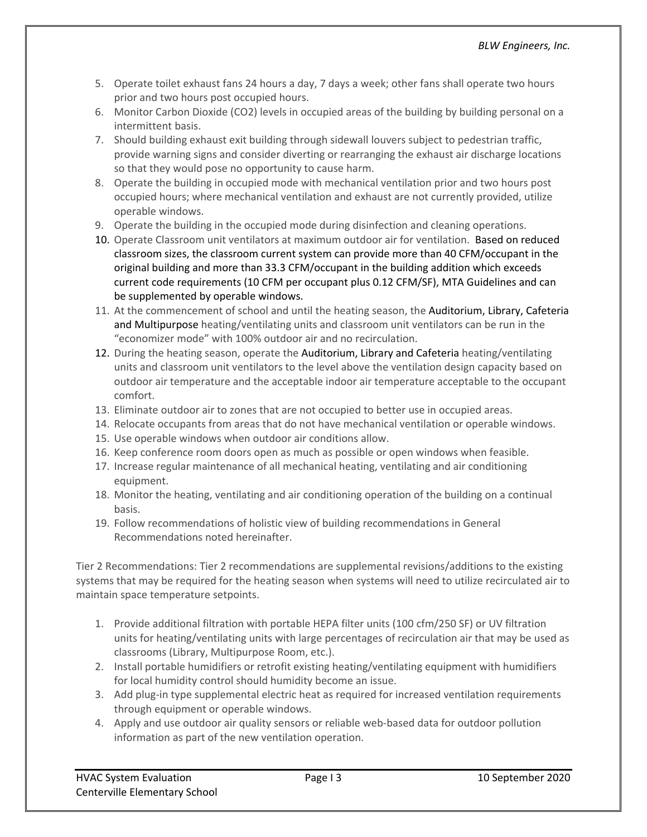- 5. Operate toilet exhaust fans 24 hours a day, 7 days a week; other fans shall operate two hours prior and two hours post occupied hours.
- 6. Monitor Carbon Dioxide (CO2) levels in occupied areas of the building by building personal on a intermittent basis.
- 7. Should building exhaust exit building through sidewall louvers subject to pedestrian traffic, provide warning signs and consider diverting or rearranging the exhaust air discharge locations so that they would pose no opportunity to cause harm.
- 8. Operate the building in occupied mode with mechanical ventilation prior and two hours post occupied hours; where mechanical ventilation and exhaust are not currently provided, utilize operable windows.
- 9. Operate the building in the occupied mode during disinfection and cleaning operations.
- 10. Operate Classroom unit ventilators at maximum outdoor air for ventilation. Based on reduced classroom sizes, the classroom current system can provide more than 40 CFM/occupant in the original building and more than 33.3 CFM/occupant in the building addition which exceeds current code requirements (10 CFM per occupant plus 0.12 CFM/SF), MTA Guidelines and can be supplemented by operable windows.
- 11. At the commencement of school and until the heating season, the Auditorium, Library, Cafeteria and Multipurpose heating/ventilating units and classroom unit ventilators can be run in the "economizer mode" with 100% outdoor air and no recirculation.
- 12. During the heating season, operate the Auditorium, Library and Cafeteria heating/ventilating units and classroom unit ventilators to the level above the ventilation design capacity based on outdoor air temperature and the acceptable indoor air temperature acceptable to the occupant comfort.
- 13. Eliminate outdoor air to zones that are not occupied to better use in occupied areas.
- 14. Relocate occupants from areas that do not have mechanical ventilation or operable windows.
- 15. Use operable windows when outdoor air conditions allow.
- 16. Keep conference room doors open as much as possible or open windows when feasible.
- 17. Increase regular maintenance of all mechanical heating, ventilating and air conditioning equipment.
- 18. Monitor the heating, ventilating and air conditioning operation of the building on a continual basis.
- 19. Follow recommendations of holistic view of building recommendations in General Recommendations noted hereinafter.

Tier 2 Recommendations: Tier 2 recommendations are supplemental revisions/additions to the existing systems that may be required for the heating season when systems will need to utilize recirculated air to maintain space temperature setpoints.

- 1. Provide additional filtration with portable HEPA filter units (100 cfm/250 SF) or UV filtration units for heating/ventilating units with large percentages of recirculation air that may be used as classrooms (Library, Multipurpose Room, etc.).
- 2. Install portable humidifiers or retrofit existing heating/ventilating equipment with humidifiers for local humidity control should humidity become an issue.
- 3. Add plug-in type supplemental electric heat as required for increased ventilation requirements through equipment or operable windows.
- 4. Apply and use outdoor air quality sensors or reliable web-based data for outdoor pollution information as part of the new ventilation operation.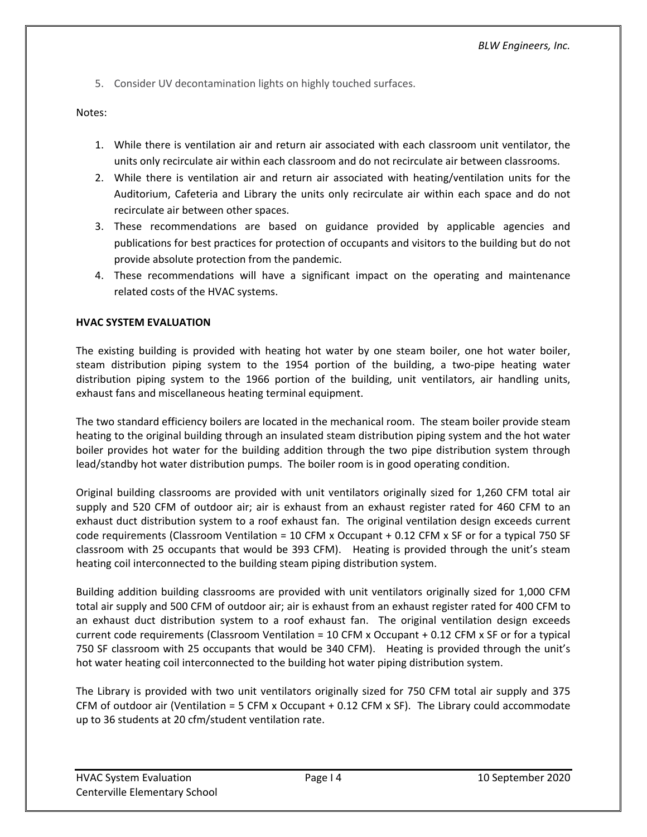5. Consider UV decontamination lights on highly touched surfaces.

Notes:

- 1. While there is ventilation air and return air associated with each classroom unit ventilator, the units only recirculate air within each classroom and do not recirculate air between classrooms.
- 2. While there is ventilation air and return air associated with heating/ventilation units for the Auditorium, Cafeteria and Library the units only recirculate air within each space and do not recirculate air between other spaces.
- 3. These recommendations are based on guidance provided by applicable agencies and publications for best practices for protection of occupants and visitors to the building but do not provide absolute protection from the pandemic.
- 4. These recommendations will have a significant impact on the operating and maintenance related costs of the HVAC systems.

# **HVAC SYSTEM EVALUATION**

The existing building is provided with heating hot water by one steam boiler, one hot water boiler, steam distribution piping system to the 1954 portion of the building, a two‐pipe heating water distribution piping system to the 1966 portion of the building, unit ventilators, air handling units, exhaust fans and miscellaneous heating terminal equipment.

The two standard efficiency boilers are located in the mechanical room. The steam boiler provide steam heating to the original building through an insulated steam distribution piping system and the hot water boiler provides hot water for the building addition through the two pipe distribution system through lead/standby hot water distribution pumps. The boiler room is in good operating condition.

Original building classrooms are provided with unit ventilators originally sized for 1,260 CFM total air supply and 520 CFM of outdoor air; air is exhaust from an exhaust register rated for 460 CFM to an exhaust duct distribution system to a roof exhaust fan. The original ventilation design exceeds current code requirements (Classroom Ventilation = 10 CFM x Occupant + 0.12 CFM x SF or for a typical 750 SF classroom with 25 occupants that would be 393 CFM). Heating is provided through the unit's steam heating coil interconnected to the building steam piping distribution system.

Building addition building classrooms are provided with unit ventilators originally sized for 1,000 CFM total air supply and 500 CFM of outdoor air; air is exhaust from an exhaust register rated for 400 CFM to an exhaust duct distribution system to a roof exhaust fan. The original ventilation design exceeds current code requirements (Classroom Ventilation = 10 CFM x Occupant + 0.12 CFM x SF or for a typical 750 SF classroom with 25 occupants that would be 340 CFM). Heating is provided through the unit's hot water heating coil interconnected to the building hot water piping distribution system.

The Library is provided with two unit ventilators originally sized for 750 CFM total air supply and 375 CFM of outdoor air (Ventilation = 5 CFM x Occupant  $+$  0.12 CFM x SF). The Library could accommodate up to 36 students at 20 cfm/student ventilation rate.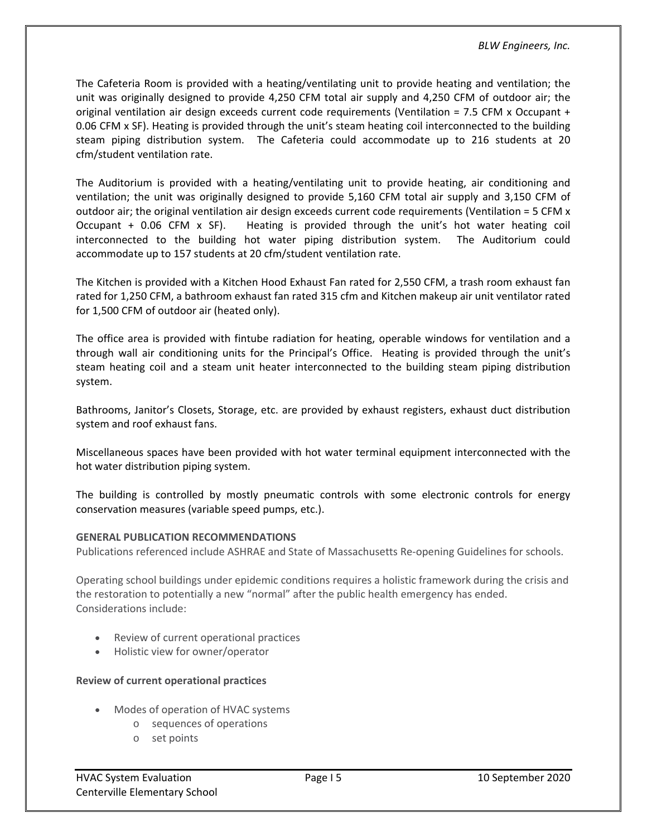The Cafeteria Room is provided with a heating/ventilating unit to provide heating and ventilation; the unit was originally designed to provide 4,250 CFM total air supply and 4,250 CFM of outdoor air; the original ventilation air design exceeds current code requirements (Ventilation = 7.5 CFM x Occupant + 0.06 CFM x SF). Heating is provided through the unit's steam heating coil interconnected to the building steam piping distribution system. The Cafeteria could accommodate up to 216 students at 20 cfm/student ventilation rate.

The Auditorium is provided with a heating/ventilating unit to provide heating, air conditioning and ventilation; the unit was originally designed to provide 5,160 CFM total air supply and 3,150 CFM of outdoor air; the original ventilation air design exceeds current code requirements (Ventilation = 5 CFM x Occupant + 0.06 CFM x SF). Heating is provided through the unit's hot water heating coil interconnected to the building hot water piping distribution system. The Auditorium could accommodate up to 157 students at 20 cfm/student ventilation rate.

The Kitchen is provided with a Kitchen Hood Exhaust Fan rated for 2,550 CFM, a trash room exhaust fan rated for 1,250 CFM, a bathroom exhaust fan rated 315 cfm and Kitchen makeup air unit ventilator rated for 1,500 CFM of outdoor air (heated only).

The office area is provided with fintube radiation for heating, operable windows for ventilation and a through wall air conditioning units for the Principal's Office. Heating is provided through the unit's steam heating coil and a steam unit heater interconnected to the building steam piping distribution system.

Bathrooms, Janitor's Closets, Storage, etc. are provided by exhaust registers, exhaust duct distribution system and roof exhaust fans.

Miscellaneous spaces have been provided with hot water terminal equipment interconnected with the hot water distribution piping system.

The building is controlled by mostly pneumatic controls with some electronic controls for energy conservation measures (variable speed pumps, etc.).

# **GENERAL PUBLICATION RECOMMENDATIONS**

Publications referenced include ASHRAE and State of Massachusetts Re‐opening Guidelines for schools.

Operating school buildings under epidemic conditions requires a holistic framework during the crisis and the restoration to potentially a new "normal" after the public health emergency has ended. Considerations include:

- Review of current operational practices
- Holistic view for owner/operator

# **Review of current operational practices**

- Modes of operation of HVAC systems
	- o sequences of operations
	- o set points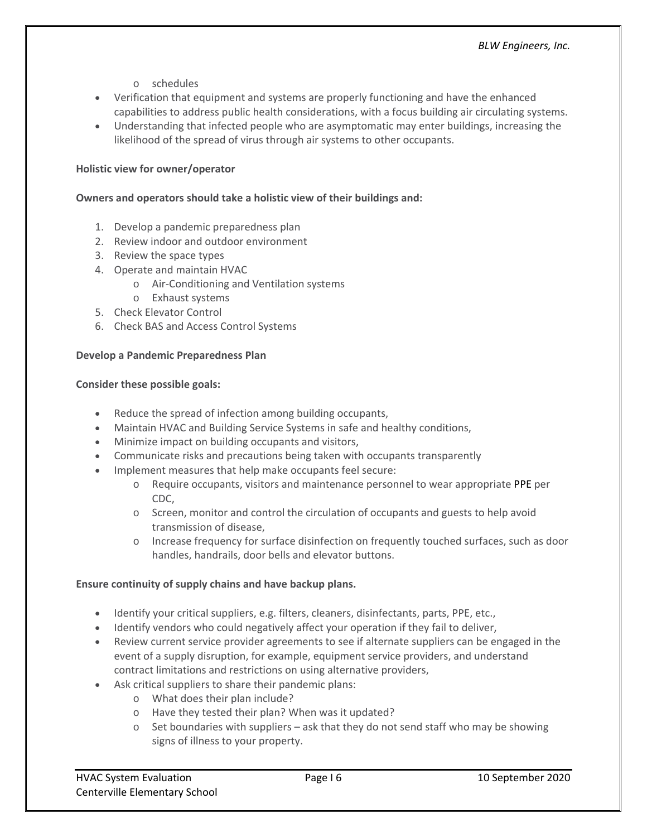- o schedules
- Verification that equipment and systems are properly functioning and have the enhanced capabilities to address public health considerations, with a focus building air circulating systems.
- Understanding that infected people who are asymptomatic may enter buildings, increasing the likelihood of the spread of virus through air systems to other occupants.

# **Holistic view for owner/operator**

### **Owners and operators should take a holistic view of their buildings and:**

- 1. Develop a pandemic preparedness plan
- 2. Review indoor and outdoor environment
- 3. Review the space types
- 4. Operate and maintain HVAC
	- o Air‐Conditioning and Ventilation systems
	- o Exhaust systems
- 5. Check Elevator Control
- 6. Check BAS and Access Control Systems

#### **Develop a Pandemic Preparedness Plan**

#### **Consider these possible goals:**

- Reduce the spread of infection among building occupants,
- Maintain HVAC and Building Service Systems in safe and healthy conditions,
- Minimize impact on building occupants and visitors,
- Communicate risks and precautions being taken with occupants transparently
- Implement measures that help make occupants feel secure:
	- $\circ$  Require occupants, visitors and maintenance personnel to wear appropriate PPE per CDC,
	- o Screen, monitor and control the circulation of occupants and guests to help avoid transmission of disease,
	- o Increase frequency for surface disinfection on frequently touched surfaces, such as door handles, handrails, door bells and elevator buttons.

#### **Ensure continuity of supply chains and have backup plans.**

- Identify your critical suppliers, e.g. filters, cleaners, disinfectants, parts, PPE, etc.,
- Identify vendors who could negatively affect your operation if they fail to deliver,
- Review current service provider agreements to see if alternate suppliers can be engaged in the event of a supply disruption, for example, equipment service providers, and understand contract limitations and restrictions on using alternative providers,
- Ask critical suppliers to share their pandemic plans:
	- o What does their plan include?
	- o Have they tested their plan? When was it updated?
	- $\circ$  Set boundaries with suppliers ask that they do not send staff who may be showing signs of illness to your property.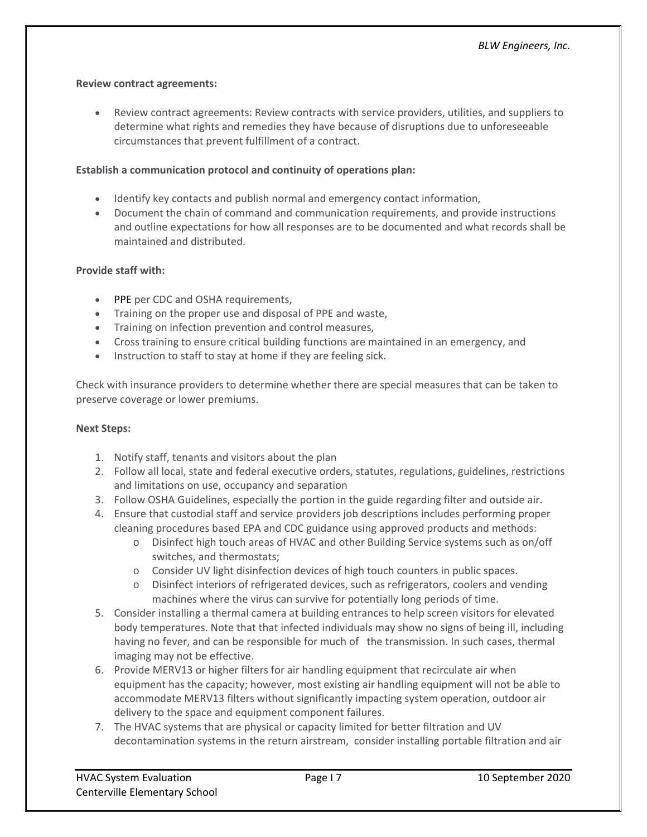### **Review contract agreements:**

 Review contract agreements: Review contracts with service providers, utilities, and suppliers to determine what rights and remedies they have because of disruptions due to unforeseeable circumstances that prevent fulfillment of a contract.

# **Establish a communication protocol and continuity of operations plan:**

- Identify key contacts and publish normal and emergency contact information,
- Document the chain of command and communication requirements, and provide instructions and outline expectations for how all responses are to be documented and what records shall be maintained and distributed.

# **Provide staff with:**

- PPE per CDC and OSHA requirements,
- Training on the proper use and disposal of PPE and waste,
- Training on infection prevention and control measures,
- Cross training to ensure critical building functions are maintained in an emergency, and
- Instruction to staff to stay at home if they are feeling sick.

Check with insurance providers to determine whether there are special measures that can be taken to preserve coverage or lower premiums.

### **Next Steps:**

- 1. Notify staff, tenants and visitors about the plan
- 2. Follow all local, state and federal executive orders, statutes, regulations, guidelines, restrictions and limitations on use, occupancy and separation
- 3. Follow OSHA Guidelines, especially the portion in the guide regarding filter and outside air.
- 4. Ensure that custodial staff and service providers job descriptions includes performing proper cleaning procedures based EPA and CDC guidance using approved products and methods:
	- o Disinfect high touch areas of HVAC and other Building Service systems such as on/off switches, and thermostats;
	- o Consider UV light disinfection devices of high touch counters in public spaces.
	- o Disinfect interiors of refrigerated devices, such as refrigerators, coolers and vending machines where the virus can survive for potentially long periods of time.
- 5. Consider installing a thermal camera at building entrances to help screen visitors for elevated body temperatures. Note that that infected individuals may show no signs of being ill, including having no fever, and can be responsible for much of the transmission. In such cases, thermal imaging may not be effective.
- 6. Provide MERV13 or higher filters for air handling equipment that recirculate air when equipment has the capacity; however, most existing air handling equipment will not be able to accommodate MERV13 filters without significantly impacting system operation, outdoor air delivery to the space and equipment component failures.
- 7. The HVAC systems that are physical or capacity limited for better filtration and UV decontamination systems in the return airstream, consider installing portable filtration and air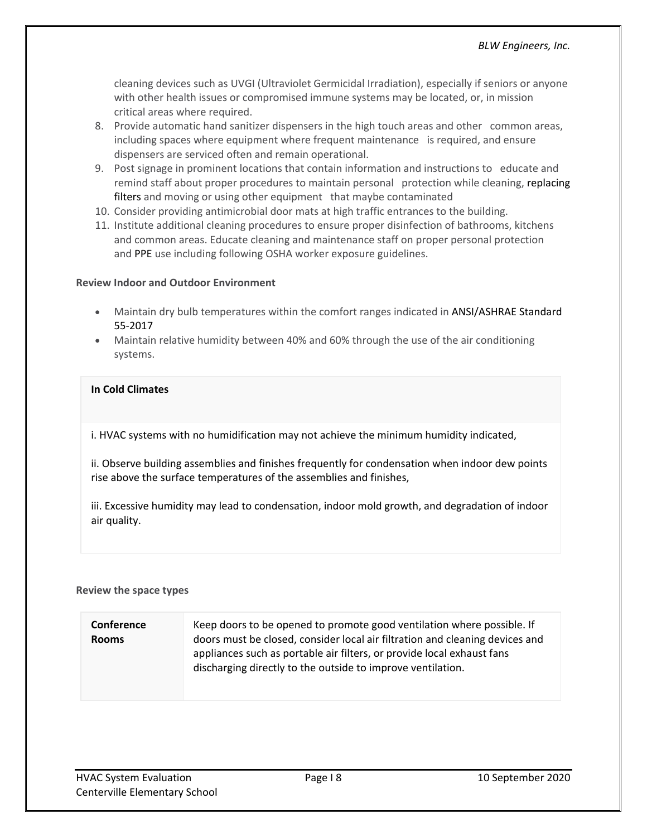cleaning devices such as UVGI (Ultraviolet Germicidal Irradiation), especially if seniors or anyone with other health issues or compromised immune systems may be located, or, in mission critical areas where required.

- 8. Provide automatic hand sanitizer dispensers in the high touch areas and other common areas, including spaces where equipment where frequent maintenance is required, and ensure dispensers are serviced often and remain operational.
- 9. Post signage in prominent locations that contain information and instructions to educate and remind staff about proper procedures to maintain personal protection while cleaning, replacing filters and moving or using other equipment that maybe contaminated
- 10. Consider providing antimicrobial door mats at high traffic entrances to the building.
- 11. Institute additional cleaning procedures to ensure proper disinfection of bathrooms, kitchens and common areas. Educate cleaning and maintenance staff on proper personal protection and PPE use including following OSHA worker exposure guidelines.

#### **Review Indoor and Outdoor Environment**

- Maintain dry bulb temperatures within the comfort ranges indicated in ANSI/ASHRAE Standard 55‐2017
- Maintain relative humidity between 40% and 60% through the use of the air conditioning systems.

# **In Cold Climates**

i. HVAC systems with no humidification may not achieve the minimum humidity indicated,

ii. Observe building assemblies and finishes frequently for condensation when indoor dew points rise above the surface temperatures of the assemblies and finishes,

iii. Excessive humidity may lead to condensation, indoor mold growth, and degradation of indoor air quality.

#### **Review the space types**

#### **Conference Rooms** Keep doors to be opened to promote good ventilation where possible. If doors must be closed, consider local air filtration and cleaning devices and appliances such as portable air filters, or provide local exhaust fans discharging directly to the outside to improve ventilation.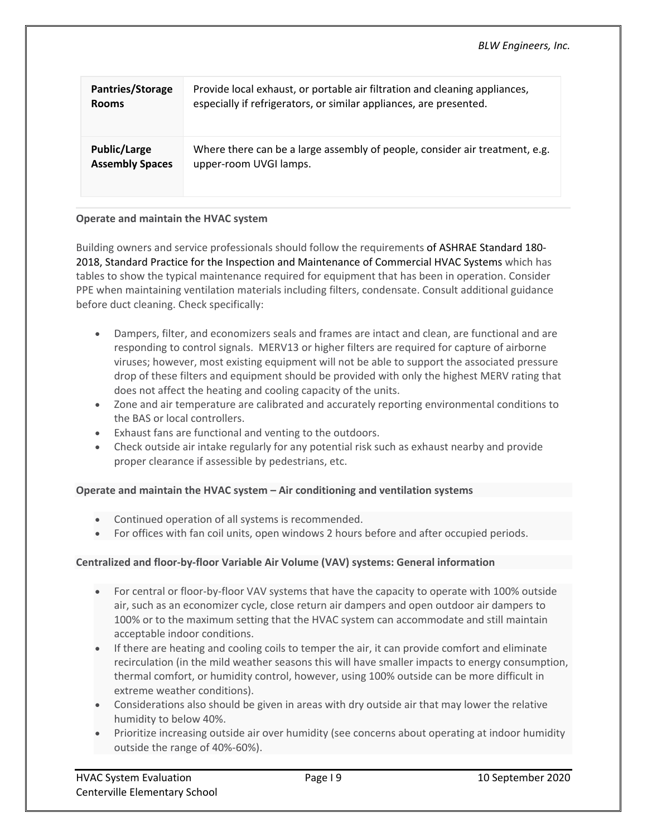| Pantries/Storage       | Provide local exhaust, or portable air filtration and cleaning appliances,  |
|------------------------|-----------------------------------------------------------------------------|
| <b>Rooms</b>           | especially if refrigerators, or similar appliances, are presented.          |
| <b>Public/Large</b>    | Where there can be a large assembly of people, consider air treatment, e.g. |
| <b>Assembly Spaces</b> | upper-room UVGI lamps.                                                      |

#### **Operate and maintain the HVAC system**

Building owners and service professionals should follow the requirements of ASHRAE Standard 180‐ 2018, Standard Practice for the Inspection and Maintenance of Commercial HVAC Systems which has tables to show the typical maintenance required for equipment that has been in operation. Consider PPE when maintaining ventilation materials including filters, condensate. Consult additional guidance before duct cleaning. Check specifically:

- Dampers, filter, and economizers seals and frames are intact and clean, are functional and are responding to control signals. MERV13 or higher filters are required for capture of airborne viruses; however, most existing equipment will not be able to support the associated pressure drop of these filters and equipment should be provided with only the highest MERV rating that does not affect the heating and cooling capacity of the units.
- Zone and air temperature are calibrated and accurately reporting environmental conditions to the BAS or local controllers.
- Exhaust fans are functional and venting to the outdoors.
- Check outside air intake regularly for any potential risk such as exhaust nearby and provide proper clearance if assessible by pedestrians, etc.

#### **Operate and maintain the HVAC system – Air conditioning and ventilation systems**

- Continued operation of all systems is recommended.
- For offices with fan coil units, open windows 2 hours before and after occupied periods.

#### **Centralized and floor‐by‐floor Variable Air Volume (VAV) systems: General information**

- For central or floor-by-floor VAV systems that have the capacity to operate with 100% outside air, such as an economizer cycle, close return air dampers and open outdoor air dampers to 100% or to the maximum setting that the HVAC system can accommodate and still maintain acceptable indoor conditions.
- If there are heating and cooling coils to temper the air, it can provide comfort and eliminate recirculation (in the mild weather seasons this will have smaller impacts to energy consumption, thermal comfort, or humidity control, however, using 100% outside can be more difficult in extreme weather conditions).
- Considerations also should be given in areas with dry outside air that may lower the relative humidity to below 40%.
- Prioritize increasing outside air over humidity (see concerns about operating at indoor humidity outside the range of 40%‐60%).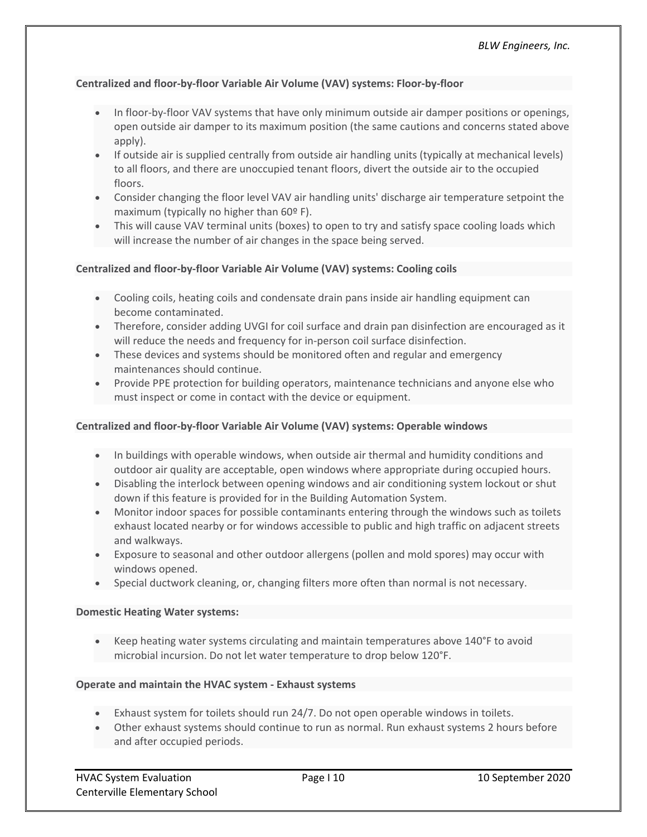# **Centralized and floor‐by‐floor Variable Air Volume (VAV) systems: Floor‐by‐floor**

- In floor-by-floor VAV systems that have only minimum outside air damper positions or openings, open outside air damper to its maximum position (the same cautions and concerns stated above apply).
- If outside air is supplied centrally from outside air handling units (typically at mechanical levels) to all floors, and there are unoccupied tenant floors, divert the outside air to the occupied floors.
- Consider changing the floor level VAV air handling units' discharge air temperature setpoint the maximum (typically no higher than 60º F).
- This will cause VAV terminal units (boxes) to open to try and satisfy space cooling loads which will increase the number of air changes in the space being served.

#### **Centralized and floor‐by‐floor Variable Air Volume (VAV) systems: Cooling coils**

- Cooling coils, heating coils and condensate drain pans inside air handling equipment can become contaminated.
- Therefore, consider adding UVGI for coil surface and drain pan disinfection are encouraged as it will reduce the needs and frequency for in‐person coil surface disinfection.
- These devices and systems should be monitored often and regular and emergency maintenances should continue.
- Provide PPE protection for building operators, maintenance technicians and anyone else who must inspect or come in contact with the device or equipment.

#### **Centralized and floor‐by‐floor Variable Air Volume (VAV) systems: Operable windows**

- In buildings with operable windows, when outside air thermal and humidity conditions and outdoor air quality are acceptable, open windows where appropriate during occupied hours.
- Disabling the interlock between opening windows and air conditioning system lockout or shut down if this feature is provided for in the Building Automation System.
- Monitor indoor spaces for possible contaminants entering through the windows such as toilets exhaust located nearby or for windows accessible to public and high traffic on adjacent streets and walkways.
- Exposure to seasonal and other outdoor allergens (pollen and mold spores) may occur with windows opened.
- Special ductwork cleaning, or, changing filters more often than normal is not necessary.

#### **Domestic Heating Water systems:**

 Keep heating water systems circulating and maintain temperatures above 140°F to avoid microbial incursion. Do not let water temperature to drop below 120°F.

#### **Operate and maintain the HVAC system ‐ Exhaust systems**

- Exhaust system for toilets should run 24/7. Do not open operable windows in toilets.
- Other exhaust systems should continue to run as normal. Run exhaust systems 2 hours before and after occupied periods.